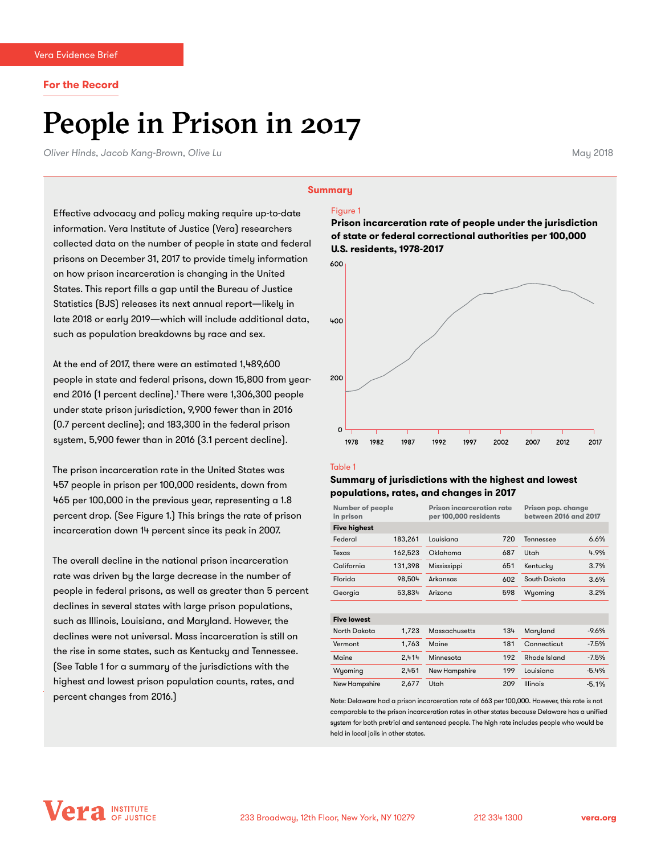#### **For the Record**

# People in Prison in 2017

*Oliver Hinds, Jacob Kang-Brown, Olive Lu* May 2018

#### **Summary**

Effective advocacy and policy making require up-to-date information. Vera Institute of Justice (Vera) researchers collected data on the number of people in state and federal prisons on December 31, 2017 to provide timely information on how prison incarceration is changing in the United States. This report fills a gap until the Bureau of Justice Statistics (BJS) releases its next annual report—likely in late 2018 or early 2019—which will include additional data, such as population breakdowns by race and sex.

At the end of 2017, there were an estimated 1,489,600 people in state and federal prisons, down 15,800 from yearend 2016 (1 percent decline).' There were 1,306,300 people under state prison jurisdiction, 9,900 fewer than in 2016 (0.7 percent decline); and 183,300 in the federal prison system, 5,900 fewer than in 2016 (3.1 percent decline).

The prison incarceration rate in the United States was 457 people in prison per 100,000 residents, down from 465 per 100,000 in the previous year, representing a 1.8 percent drop. (See Figure 1.) This brings the rate of prison incarceration down 14 percent since its peak in 2007.

The overall decline in the national prison incarceration rate was driven by the large decrease in the number of people in federal prisons, as well as greater than 5 percent declines in several states with large prison populations, such as Illinois, Louisiana, and Maryland. However, the declines were not universal. Mass incarceration is still on the rise in some states, such as Kentucky and Tennessee. (See Table 1 for a summary of the jurisdictions with the highest and lowest prison population counts, rates, and percent changes from 2016.)

#### Figure 1

**Prison incarceration rate of people under the jurisdiction of state or federal correctional authorities per 100,000 U.S. residents, 1978-2017**



#### Table 1

### **Summary of jurisdictions with the highest and lowest populations, rates, and changes in 2017**

| <b>Number of people</b><br>in prison |         | <b>Prison incarceration rate</b><br>per 100,000 residents |     | Prison pop. change<br>between 2016 and 2017 |         |
|--------------------------------------|---------|-----------------------------------------------------------|-----|---------------------------------------------|---------|
| <b>Five highest</b>                  |         |                                                           |     |                                             |         |
| Federal                              | 183,261 | Louisiana                                                 | 720 | Tennessee                                   | 6.6%    |
| Texas                                | 162,523 | Oklahoma                                                  | 687 | Utah                                        | 4.9%    |
| California                           | 131.398 | Mississippi                                               | 651 | Kentucky                                    | 3.7%    |
| Florida                              | 98.504  | Arkansas                                                  | 602 | South Dakota                                | 3.6%    |
| Georgia                              | 53,834  | Arizona                                                   | 598 | Wyoming                                     | 3.2%    |
|                                      |         |                                                           |     |                                             |         |
| <b>Five lowest</b>                   |         |                                                           |     |                                             |         |
| North Dakota                         | 1.723   | <b>Massachusetts</b>                                      | 134 | Maryland                                    | $-9.6%$ |
| Vermont                              | 1,763   | Maine                                                     | 181 | Connecticut                                 | $-7.5%$ |
| Maine                                | 2,414   | Minnesota                                                 | 192 | Rhode Island                                | $-7.5%$ |
| Wyoming                              | 2,451   | New Hampshire                                             | 199 | Louisiana                                   | $-5.4%$ |
| New Hampshire                        | 2,677   | Utah                                                      | 209 | <b>Illinois</b>                             | $-5.1%$ |

Note: Delaware had a prison incarceration rate of 663 per 100,000. However, this rate is not comparable to the prison incarceration rates in other states because Delaware has a unified system for both pretrial and sentenced people. The high rate includes people who would be held in local jails in other states.

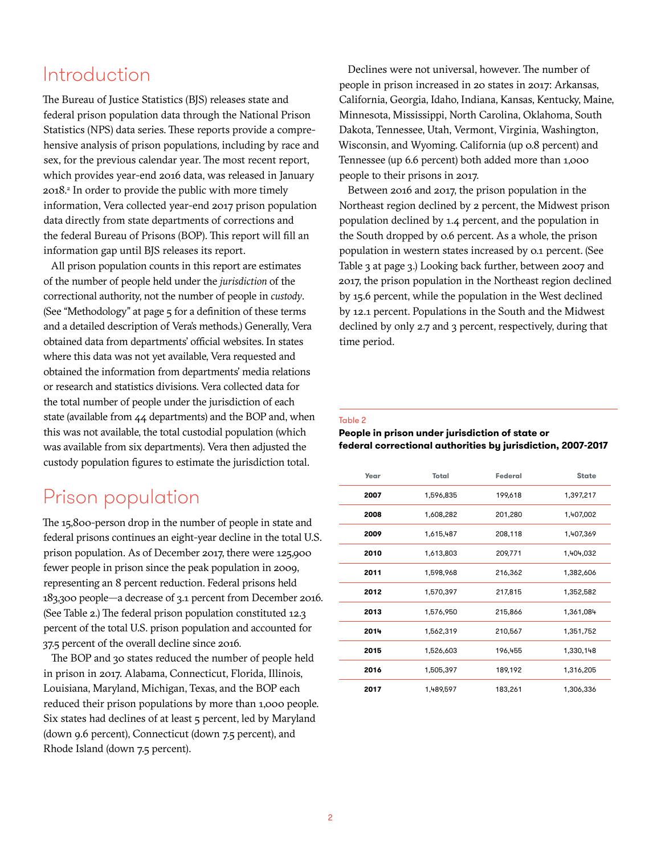# Introduction

The Bureau of Justice Statistics (BJS) releases state and federal prison population data through the National Prison Statistics (NPS) data series. These reports provide a comprehensive analysis of prison populations, including by race and sex, for the previous calendar year. The most recent report, which provides year-end 2016 data, was released in January 2018.2 In order to provide the public with more timely information, Vera collected year-end 2017 prison population data directly from state departments of corrections and the federal Bureau of Prisons (BOP). This report will fill an information gap until BJS releases its report.

All prison population counts in this report are estimates of the number of people held under the *jurisdiction* of the correctional authority, not the number of people in *custody*. (See "Methodology" at page 5 for a definition of these terms and a detailed description of Vera's methods.) Generally, Vera obtained data from departments' official websites. In states where this data was not yet available, Vera requested and obtained the information from departments' media relations or research and statistics divisions. Vera collected data for the total number of people under the jurisdiction of each state (available from 44 departments) and the BOP and, when this was not available, the total custodial population (which was available from six departments). Vera then adjusted the custody population figures to estimate the jurisdiction total.

# Prison population

The 15,800-person drop in the number of people in state and federal prisons continues an eight-year decline in the total U.S. prison population. As of December 2017, there were 125,900 fewer people in prison since the peak population in 2009, representing an 8 percent reduction. Federal prisons held 183,300 people—a decrease of 3.1 percent from December 2016. (See Table 2.) The federal prison population constituted 12.3 percent of the total U.S. prison population and accounted for 37.5 percent of the overall decline since 2016.

The BOP and 30 states reduced the number of people held in prison in 2017. Alabama, Connecticut, Florida, Illinois, Louisiana, Maryland, Michigan, Texas, and the BOP each reduced their prison populations by more than 1,000 people. Six states had declines of at least 5 percent, led by Maryland (down 9.6 percent), Connecticut (down 7.5 percent), and Rhode Island (down 7.5 percent).

Declines were not universal, however. The number of people in prison increased in 20 states in 2017: Arkansas, California, Georgia, Idaho, Indiana, Kansas, Kentucky, Maine, Minnesota, Mississippi, North Carolina, Oklahoma, South Dakota, Tennessee, Utah, Vermont, Virginia, Washington, Wisconsin, and Wyoming. California (up 0.8 percent) and Tennessee (up 6.6 percent) both added more than 1,000 people to their prisons in 2017.

Between 2016 and 2017, the prison population in the Northeast region declined by 2 percent, the Midwest prison population declined by 1.4 percent, and the population in the South dropped by 0.6 percent. As a whole, the prison population in western states increased by 0.1 percent. (See Table 3 at page 3.) Looking back further, between 2007 and 2017, the prison population in the Northeast region declined by 15.6 percent, while the population in the West declined by 12.1 percent. Populations in the South and the Midwest declined by only 2.7 and 3 percent, respectively, during that time period.

#### Table 2

### **People in prison under jurisdiction of state or federal correctional authorities by jurisdiction, 2007-2017**

| Year | Total     | Federal | <b>State</b> |
|------|-----------|---------|--------------|
| 2007 | 1,596,835 | 199,618 | 1,397,217    |
| 2008 | 1,608,282 | 201,280 | 1,407,002    |
| 2009 | 1,615,487 | 208,118 | 1,407,369    |
| 2010 | 1,613,803 | 209,771 | 1,404,032    |
| 2011 | 1,598,968 | 216,362 | 1,382,606    |
| 2012 | 1,570,397 | 217,815 | 1,352,582    |
| 2013 | 1,576,950 | 215,866 | 1,361,084    |
| 2014 | 1,562,319 | 210,567 | 1,351,752    |
| 2015 | 1,526,603 | 196,455 | 1,330,148    |
| 2016 | 1,505,397 | 189,192 | 1,316,205    |
| 2017 | 1,489,597 | 183,261 | 1,306,336    |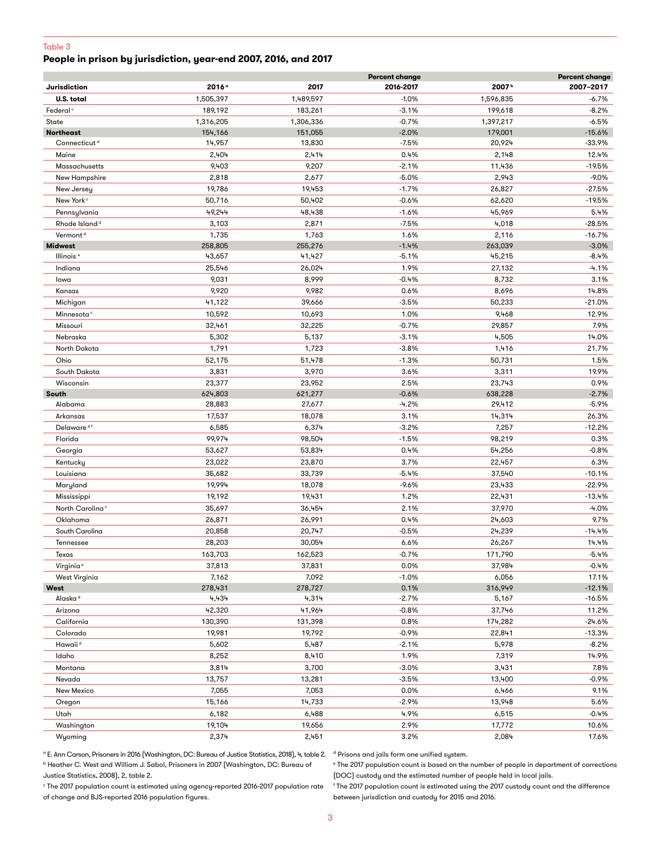#### Table 3

# **People in prison by jurisdiction, year-end 2007, 2016, and 2017**

|                             |           | <b>Percent change</b> |           |                   |           |
|-----------------------------|-----------|-----------------------|-----------|-------------------|-----------|
| <b>Jurisdiction</b>         | 2016°     | 2017                  | 2016-2017 | 2007 <sup>b</sup> | 2007-2017 |
| <b>U.S. total</b>           | 1,505,397 | 1,489,597             | $-1.0%$   | 1,596,835         | -6.7%     |
| Federal <sup>c</sup>        | 189,192   | 183,261               | $-3.1%$   | 199,618           | $-8.2%$   |
| State                       | 1,316,205 | 1,306,336             | $-0.7%$   | 1,397,217         | $-6.5%$   |
| <b>Northeast</b>            | 154,166   | 151,055               | $-2.0\%$  | 179,001           | $-15.6%$  |
| Connecticut <sup>d</sup>    | 14,957    | 13,830                | $-7.5%$   | 20,924            | $-33.9%$  |
| Maine                       | 2,404     | 2,414                 | 0.4%      | 2,148             | 12.4%     |
| Massachusetts               | 9,403     | 9,207                 | $-2.1%$   | 11,436            | $-19.5%$  |
| New Hampshire               | 2,818     | 2,677                 | $-5.0%$   | 2,943             | $-9.0\%$  |
| New Jersey                  | 19,786    | 19,453                | $-1.7%$   | 26,827            | $-27.5%$  |
| New York <sup>c</sup>       | 50,716    | 50,402                | $-0.6%$   | 62,620            | $-19.5%$  |
| Pennsylvania                | 49,244    | 48,438                | $-1.6%$   | 45,969            | 5.4%      |
| Rhode Island <sup>d</sup>   | 3,103     | 2,871                 | $-7.5%$   | 4,018             | $-28.5%$  |
| Vermont <sup>d</sup>        | 1,735     | 1,763                 | 1.6%      | 2,116             | $-16.7%$  |
| <b>Midwest</b>              | 258,805   | 255,276               | $-1.4%$   | 263,039           | $-3.0%$   |
| Illinois <sup>e</sup>       | 43,657    | 41,427                | $-5.1%$   | 45,215            | $-8.4%$   |
| Indiana                     | 25,546    | 26,024                | 1.9%      | 27,132            | $-4.1%$   |
| lowa                        | 9,031     | 8,999                 | $-0.4%$   | 8,732             | 3.1%      |
| Kansas                      | 9,920     | 9,982                 | 0.6%      | 8,696             | 14.8%     |
|                             |           |                       |           |                   |           |
| Michigan                    | 41,122    | 39,666                | $-3.5%$   | 50,233            | $-21.0%$  |
| Minnesota <sup>c</sup>      | 10,592    | 10,693                | 1.0%      | 9,468             | 12.9%     |
| Missouri                    | 32,461    | 32,225                | $-0.7%$   | 29,857            | 7.9%      |
| Nebraska                    | 5,302     | 5,137                 | $-3.1%$   | 4,505             | 14.0%     |
| North Dakota                | 1,791     | 1,723                 | $-3.8%$   | 1,416             | 21.7%     |
| Ohio                        | 52,175    | 51,478                | $-1.3%$   | 50,731            | 1.5%      |
| South Dakota                | 3,831     | 3,970                 | 3.6%      | 3,311             | 19.9%     |
| Wisconsin                   | 23,377    | 23,952                | 2.5%      | 23,743            | 0.9%      |
| South                       | 624,803   | 621,277               | $-0.6%$   | 638,228           | $-2.7%$   |
| Alabama                     | 28,883    | 27,677                | -4.2%     | 29,412            | $-5.9%$   |
| Arkansas                    | 17,537    | 18,078                | 3.1%      | 14,314            | 26.3%     |
| Delaware <sup>df</sup>      | 6,585     | 6,374                 | $-3.2%$   | 7,257             | $-12.2%$  |
| Florida                     | 99,974    | 98,504                | $-1.5%$   | 98,219            | 0.3%      |
| Georgia                     | 53,627    | 53,834                | 0.4%      | 54,256            | $-0.8\%$  |
| Kentucky                    | 23,022    | 23,870                | 3.7%      | 22,457            | 6.3%      |
| Louisiana                   | 35,682    | 33,739                | $-5.4%$   | 37,540            | $-10.1%$  |
| Maryland                    | 19,994    | 18,078                | $-9.6%$   | 23,433            | $-22.9%$  |
| Mississippi                 | 19,192    | 19,431                | 1.2%      | 22,431            | $-13.4%$  |
| North Carolina <sup>c</sup> | 35,697    | 36,454                | 2.1%      | 37,970            | -4.0%     |
| Oklahoma                    | 26,871    | 26,991                | 0.4%      | 24,603            | 9.7%      |
| South Carolina              | 20,858    | 20,747                | $-0.5%$   | 24,239            | -14.4%    |
| Tennessee                   | 28,203    | 30,054                | 6.6%      | 26,267            | 14.4%     |
| Texas                       | 163,703   | 162,523               | $-0.7%$   | 171,790           | $-5.4%$   |
| Virginia <sup>e</sup>       | 37,813    | 37,831                | 0.0%      | 37,984            | -0.4%     |
| West Virginia               | 7,162     | 7,092                 | $-1.0%$   | 6,056             | 17.1%     |
| West                        | 278,431   | 278,727               | 0.1%      | 316,949           | $-12.1%$  |
| Alaska <sup>d</sup>         | 4,434     | 4,314                 | $-2.7%$   | 5,167             | $-16.5%$  |
| Arizona                     | 42,320    | 41,964                | $-0.8%$   | 37,746            | 11.2%     |
| California                  | 130,390   | 131,398               | 0.8%      | 174,282           | $-24.6%$  |
| Colorado                    | 19,981    | 19,792                | $-0.9\%$  | 22,841            | $-13.3%$  |
| Hawaii <sup>d</sup>         | 5,602     | 5,487                 | $-2.1%$   | 5,978             | $-8.2%$   |
| Idaho                       | 8,252     | 8,410                 | 1.9%      | 7,319             | 14.9%     |
| Montana                     | 3,814     | 3,700                 | $-3.0\%$  | 3,431             | 7.8%      |
| Nevada                      | 13,757    | 13,281                | $-3.5%$   | 13,400            | -0.9%     |
| New Mexico                  | 7,055     | 7,053                 | 0.0%      | 6,466             | 9.1%      |
|                             |           | 14,733                | $-2.9%$   | 13,948            | 5.6%      |
| Oregon                      | 15,166    |                       |           |                   |           |
| Utah                        | 6,182     | 6,488                 | 4.9%      | 6,515             | $-0.4\%$  |
| Washington                  | 19,104    | 19,656                | 2.9%      | 17,772            | 10.6%     |
| Wyoming                     | 2,374     | 2,451                 | 3.2%      | 2,084             | 17.6%     |

° E. Ann Carson, Prisoners in 2016 (Washington, DC: Bureau of Justice Statistics, 2018), 4, table 2.  $\,$  d Prisons and jails form one unified system. b Heather C. West and William J. Sabol, Prisoners in 2007 (Washington, DC: Bureau of Justice Statistics, 2008), 2, table 2.

e The 2017 population count is based on the number of people in department of corrections (DOC) custody and the estimated number of people held in local jails.

 $\,^{\circ}$ The 2017 population count is estimated using agency-reported 2016-2017 population rate of change and BJS-reported 2016 population figures.

f The 2017 population count is estimated using the 2017 custody count and the difference between jurisdiction and custody for 2015 and 2016.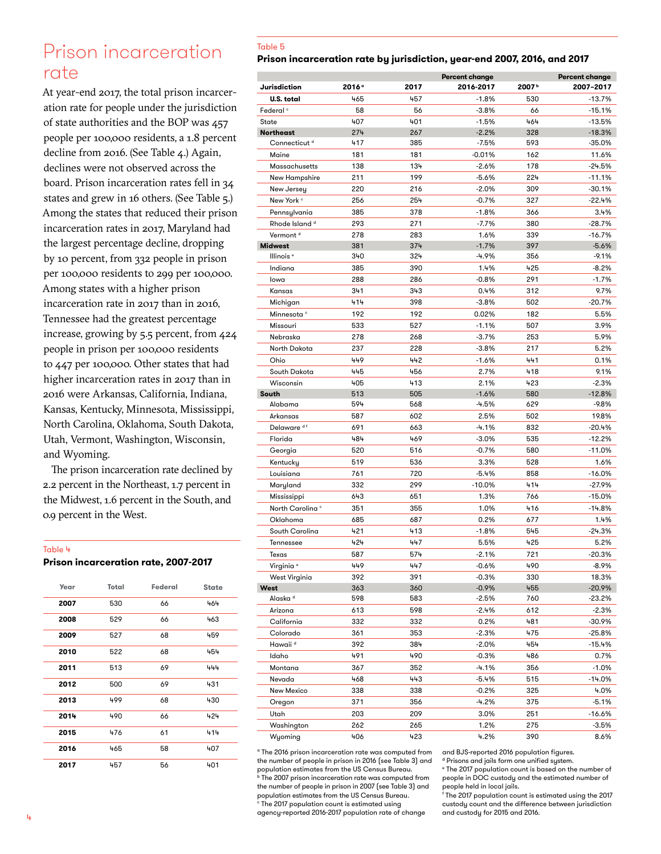# Prison incarceration rate

At year-end 2017, the total prison incarceration rate for people under the jurisdiction of state authorities and the BOP was 457 people per 100,000 residents, a 1.8 percent decline from 2016. (See Table 4.) Again, declines were not observed across the board. Prison incarceration rates fell in 34 states and grew in 16 others. (See Table 5.) Among the states that reduced their prison incarceration rates in 2017, Maryland had the largest percentage decline, dropping by 10 percent, from 332 people in prison per 100,000 residents to 299 per 100,000. Among states with a higher prison incarceration rate in 2017 than in 2016, Tennessee had the greatest percentage increase, growing by 5.5 percent, from 424 people in prison per 100,000 residents to 447 per 100,000. Other states that had higher incarceration rates in 2017 than in 2016 were Arkansas, California, Indiana, Kansas, Kentucky, Minnesota, Mississippi, North Carolina, Oklahoma, South Dakota, Utah, Vermont, Washington, Wisconsin, and Wyoming.

The prison incarceration rate declined by 2.2 percent in the Northeast, 1.7 percent in the Midwest, 1.6 percent in the South, and 0.9 percent in the West.

#### Table 4

**Prison incarceration rate, 2007-2017**

| Year | <b>Total</b> | Federal | <b>State</b> |
|------|--------------|---------|--------------|
| 2007 | 530          | 66      | 464          |
| 2008 | 529          | 66      | 463          |
| 2009 | 527          | 68      | 459          |
| 2010 | 522          | 68      | 454          |
| 2011 | 513          | 69      | 444          |
| 2012 | 500          | 69      | 431          |
| 2013 | 499          | 68      | 430          |
| 2014 | 490          | 66      | 424          |
| 2015 | 476          | 61      | 414          |
| 2016 | 465          | 58      | 407          |
| 2017 | 457          | 56      | 401          |

### Table 5

### **Prison incarceration rate by jurisdiction, year-end 2007, 2016, and 2017**

|                             |                   |            | Percent change     |                   | Percent change |
|-----------------------------|-------------------|------------|--------------------|-------------------|----------------|
| Jurisdiction                | 2016 <sup>°</sup> | 2017       | 2016-2017          | 2007 <sup>b</sup> | 2007-2017      |
| U.S. total                  | 465               | 457        | $-1.8%$            | 530               | $-13.7%$       |
| Federal <sup>c</sup>        | 58                | 56         | $-3.8%$            | 66                | $-15.1%$       |
| State                       | 407               | 401        | $-1.5%$            | 464               | $-13.5%$       |
| <b>Northeast</b>            | 274               | 267        | $-2.2%$            | 328               | $-18.3%$       |
| Connecticut <sup>d</sup>    | 417               | 385        | $-7.5%$            | 593               | $-35.0%$       |
| Maine                       | 181               | 181        | $-0.01%$           | 162               | 11.6%          |
| Massachusetts               | 138               | 134        | $-2.6%$            | 178               | $-24.5%$       |
| New Hampshire               | 211               | 199        | $-5.6%$            | 224               | $-11.1%$       |
| New Jersey                  | 220               | 216        | $-2.0%$            | 309               | $-30.1%$       |
| New York <sup>c</sup>       | 256               | 254        | $-0.7%$            | 327               | $-22.4%$       |
| Pennsylvania                | 385               | 378        | $-1.8%$            | 366               | 3.4%           |
| Rhode Island <sup>d</sup>   | 293               | 271        | $-7.7%$            | 380               | $-28.7%$       |
| Vermont <sup>d</sup>        | 278               | 283        | 1.6%               | 339               | $-16.7%$       |
| <b>Midwest</b>              | 381               | 374        | $-1.7%$            | 397               | $-5.6%$        |
| Illinois <sup>e</sup>       | 340               | 324        | -4.9%              | 356               | $-9.1%$        |
| Indiana                     | 385               | 390        | 1.4%               | 425               | $-8.2%$        |
| lowa                        | 288               | 286        | $-0.8%$            | 291               | $-1.7%$        |
| Kansas                      | 341               | 343        | 0.4%               | 312               | 9.7%           |
| Michigan                    | 414               | 398        | $-3.8%$            | 502               | -20.7%         |
| Minnesota <sup>c</sup>      | 192               | 192        | 0.02%              | 182               | 5.5%           |
| Missouri                    | 533               | 527        | $-1.1%$            | 507               | 3.9%           |
| Nebraska                    | 278               | 268        | $-3.7%$            | 253               | 5.9%           |
|                             |                   |            |                    | 217               |                |
| North Dakota<br>Ohio        | 237<br>449        | 228<br>442 | $-3.8%$<br>$-1.6%$ | 441               | 5.2%<br>0.1%   |
|                             |                   |            |                    |                   |                |
| South Dakota                | 445               | 456        | 2.7%               | 418               | 9.1%           |
| Wisconsin                   | 405               | 413        | 2.1%               | 423               | $-2.3%$        |
| South                       | 513               | 505        | $-1.6%$            | 580               | $-12.8%$       |
| Alabama                     | 594               | 568        | $-4.5%$            | 629               | $-9.8%$        |
| Arkansas                    | 587               | 602        | 2.5%               | 502               | 19.8%          |
| Delaware <sup>df</sup>      | 691               | 663        | $-4.1%$            | 832               | $-20.4%$       |
| Florida                     | 484               | 469        | $-3.0%$            | 535               | $-12.2%$       |
| Georgia                     | 520               | 516        | $-0.7%$            | 580               | $-11.0%$       |
| Kentucky                    | 519               | 536        | 3.3%               | 528               | 1.6%           |
| Louisiana                   | 761               | 720        | $-5.4%$            | 858               | $-16.0%$       |
| Maryland                    | 332               | 299        | $-10.0%$           | 414               | -27.9%         |
| Mississippi                 | 643               | 651        | 1.3%               | 766               | -15.0%         |
| North Carolina <sup>c</sup> | 351               | 355        | 1.0%               | 416               | $-14.8%$       |
| Oklahoma                    | 685               | 687        | 0.2%               | 677               | 1.4%           |
| South Carolina              | 421               | 413        | $-1.8%$            | 545               | $-24.3%$       |
| Tennessee                   | 424               | 447        | 5.5%               | 425               | 5.2%           |
| Texas                       | 587               | 574        | $-2.1%$            | 721               | $-20.3%$       |
| Virginia <sup>e</sup>       | 449               | 447        | $-0.6\%$           | 490               | $-8.9\%$       |
| West Virginia               | 392               | 391        | $-0.3%$            | 330               | 18.3%          |
| West                        | 363               | 360        | $-0.9%$            | 455               | $-20.9%$       |
| Alaska <sup>d</sup>         | 598               | 583        | $-2.5%$            | 760               | -23.2%         |
| Arizona                     | 613               | 598        | $-2.4%$            | 612               | $-2.3%$        |
| California                  | 332               | 332        | 0.2%               | 481               | $-30.9%$       |
| Colorado                    | 361               | 353        | $-2.3%$            | 475               | -25.8%         |
| Hawaii <sup>d</sup>         | 392               | 384        | $-2.0%$            | 454               | -15.4%         |
| ldaho                       | 491               | 490        | $-0.3%$            | 486               | 0.7%           |
| Montana                     | 367               | 352        | -4.1%              | 356               | $-1.0%$        |
| Nevada                      | 468               | 443        | $-5.4%$            | 515               | $-14.0%$       |
| New Mexico                  | 338               | 338        | $-0.2%$            | 325               | 4.0%           |
| Oregon                      | 371               | 356        | $-4.2%$            | 375               | $-5.1%$        |
| Utah                        | 203               | 209        | 3.0%               | 251               | -16.6%         |
| Washington                  | 262               | 265        | 1.2%               | 275               | $-3.5%$        |
| Wyoming                     | 406               | 423        | 4.2%               | 390               | 8.6%           |

a The 2016 prison incarceration rate was computed from the number of people in prison in 2016 (see Table 3) and population estimates from the US Census Bureau.

b The 2007 prison incarceration rate was computed from the number of people in prison in 2007 (see Table 3) and population estimates from the US Census Bureau.

<sup>c</sup> The 2017 population count is estimated using agency-reported 2016-2017 population rate of change and BJS-reported 2016 population figures.

d Prisons and jails form one unified system. e The 2017 population count is based on the number of people in DOC custody and the estimated number of

people held in local jails. f The 2017 population count is estimated using the 2017 custody count and the difference between jurisdiction and custody for 2015 and 2016.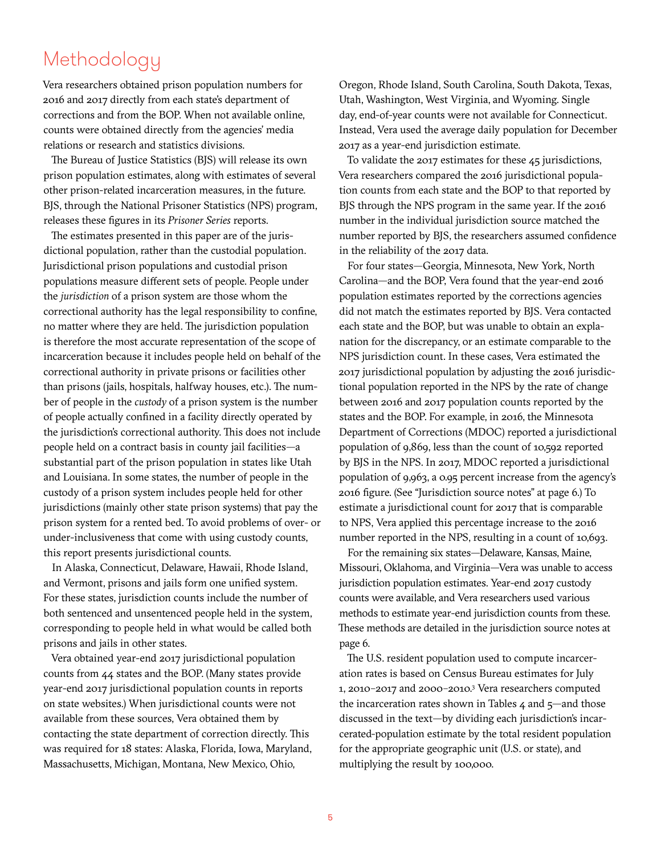# Methodology

Vera researchers obtained prison population numbers for 2016 and 2017 directly from each state's department of corrections and from the BOP. When not available online, counts were obtained directly from the agencies' media relations or research and statistics divisions.

The Bureau of Justice Statistics (BJS) will release its own prison population estimates, along with estimates of several other prison-related incarceration measures, in the future. BJS, through the National Prisoner Statistics (NPS) program, releases these figures in its *Prisoner Series* reports.

The estimates presented in this paper are of the jurisdictional population, rather than the custodial population. Jurisdictional prison populations and custodial prison populations measure different sets of people. People under the *jurisdiction* of a prison system are those whom the correctional authority has the legal responsibility to confine, no matter where they are held. The jurisdiction population is therefore the most accurate representation of the scope of incarceration because it includes people held on behalf of the correctional authority in private prisons or facilities other than prisons (jails, hospitals, halfway houses, etc.). The number of people in the *custody* of a prison system is the number of people actually confined in a facility directly operated by the jurisdiction's correctional authority. This does not include people held on a contract basis in county jail facilities—a substantial part of the prison population in states like Utah and Louisiana. In some states, the number of people in the custody of a prison system includes people held for other jurisdictions (mainly other state prison systems) that pay the prison system for a rented bed. To avoid problems of over- or under-inclusiveness that come with using custody counts, this report presents jurisdictional counts.

In Alaska, Connecticut, Delaware, Hawaii, Rhode Island, and Vermont, prisons and jails form one unified system. For these states, jurisdiction counts include the number of both sentenced and unsentenced people held in the system, corresponding to people held in what would be called both prisons and jails in other states.

Vera obtained year-end 2017 jurisdictional population counts from 44 states and the BOP. (Many states provide year-end 2017 jurisdictional population counts in reports on state websites.) When jurisdictional counts were not available from these sources, Vera obtained them by contacting the state department of correction directly. This was required for 18 states: Alaska, Florida, Iowa, Maryland, Massachusetts, Michigan, Montana, New Mexico, Ohio,

Oregon, Rhode Island, South Carolina, South Dakota, Texas, Utah, Washington, West Virginia, and Wyoming. Single day, end-of-year counts were not available for Connecticut. Instead, Vera used the average daily population for December 2017 as a year-end jurisdiction estimate.

To validate the 2017 estimates for these 45 jurisdictions, Vera researchers compared the 2016 jurisdictional population counts from each state and the BOP to that reported by BJS through the NPS program in the same year. If the 2016 number in the individual jurisdiction source matched the number reported by BJS, the researchers assumed confidence in the reliability of the 2017 data.

For four states—Georgia, Minnesota, New York, North Carolina—and the BOP, Vera found that the year-end 2016 population estimates reported by the corrections agencies did not match the estimates reported by BJS. Vera contacted each state and the BOP, but was unable to obtain an explanation for the discrepancy, or an estimate comparable to the NPS jurisdiction count. In these cases, Vera estimated the 2017 jurisdictional population by adjusting the 2016 jurisdictional population reported in the NPS by the rate of change between 2016 and 2017 population counts reported by the states and the BOP. For example, in 2016, the Minnesota Department of Corrections (MDOC) reported a jurisdictional population of 9,869, less than the count of 10,592 reported by BJS in the NPS. In 2017, MDOC reported a jurisdictional population of 9,963, a 0.95 percent increase from the agency's 2016 figure. (See "Jurisdiction source notes" at page 6.) To estimate a jurisdictional count for 2017 that is comparable to NPS, Vera applied this percentage increase to the 2016 number reported in the NPS, resulting in a count of 10,693.

For the remaining six states—Delaware, Kansas, Maine, Missouri, Oklahoma, and Virginia—Vera was unable to access jurisdiction population estimates. Year-end 2017 custody counts were available, and Vera researchers used various methods to estimate year-end jurisdiction counts from these. These methods are detailed in the jurisdiction source notes at page 6.

The U.S. resident population used to compute incarceration rates is based on Census Bureau estimates for July 1, 2010–2017 and 2000–2010.3 Vera researchers computed the incarceration rates shown in Tables  $4$  and  $5$ —and those discussed in the text—by dividing each jurisdiction's incarcerated-population estimate by the total resident population for the appropriate geographic unit (U.S. or state), and multiplying the result by 100,000.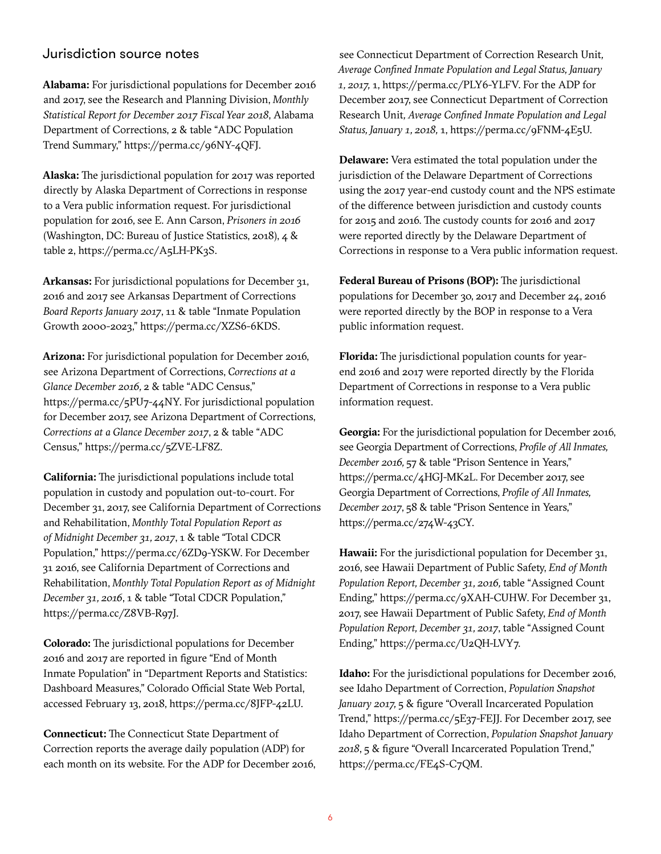# Jurisdiction source notes

**Alabama:** For jurisdictional populations for December 2016 and 2017, see the Research and Planning Division, *Monthly Statistical Report for December 2017 Fiscal Year 2018*, Alabama Department of Corrections, 2 & table "ADC Population Trend Summary," <https://perma.cc/96NY-4QFJ>.

**Alaska:** The jurisdictional population for 2017 was reported directly by Alaska Department of Corrections in response to a Vera public information request. For jurisdictional population for 2016, see E. Ann Carson, *Prisoners in 2016* (Washington, DC: Bureau of Justice Statistics, 2018), 4 & table 2, [https://perma.cc/A5LH-PK3S.](https://perma.cc/A5LH-PK3S)

**Arkansas:** For jurisdictional populations for December 31, 2016 and 2017 see Arkansas Department of Corrections *Board Reports January 2017*, 11 & table "Inmate Population Growth 2000-2023," <https://perma.cc/XZS6-6KDS>.

**Arizona:** For jurisdictional population for December 2016, see Arizona Department of Corrections, *Corrections at a Glance December 2016,* 2 & table "ADC Census," <https://perma.cc/5PU7-44NY>. For jurisdictional population for December 2017, see Arizona Department of Corrections, *Corrections at a Glance December 2017*, 2 & table "ADC Census," [https://perma.cc/5ZVE-LF8Z.](https://perma.cc/5ZVE-LF8Z)

**California:** The jurisdictional populations include total population in custody and population out-to-court. For December 31, 2017, see California Department of Corrections and Rehabilitation, *Monthly Total Population Report as of Midnight December 31, 2017*, 1 & table "Total CDCR Population,"<https://perma.cc/6ZD9-YSKW>. For December 31 2016, see California Department of Corrections and Rehabilitation, *Monthly Total Population Report as of Midnight December 31, 2016*, 1 & table "Total CDCR Population," <https://perma.cc/Z8VB-R97J>.

**Colorado:** The jurisdictional populations for December 2016 and 2017 are reported in figure "End of Month Inmate Population" in "Department Reports and Statistics: Dashboard Measures," Colorado Official State Web Portal, accessed February 13, 2018, [https://perma.cc/8JFP-42LU.](https://perma.cc/8JFP-42LU)

**Connecticut:** The Connecticut State Department of Correction reports the average daily population (ADP) for each month on its website. For the ADP for December 2016,

see Connecticut Department of Correction Research Unit*, Average Confined Inmate Population and Legal Status, January 1, 2017,* 1,<https://perma.cc/PLY6-YLFV>. For the ADP for December 2017, see Connecticut Department of Correction Research Unit*, Average Confined Inmate Population and Legal Status, January 1, 2018,* 1,<https://perma.cc/9FNM-4E5U>.

**Delaware:** Vera estimated the total population under the jurisdiction of the Delaware Department of Corrections using the 2017 year-end custody count and the NPS estimate of the difference between jurisdiction and custody counts for 2015 and 2016. The custody counts for 2016 and 2017 were reported directly by the Delaware Department of Corrections in response to a Vera public information request.

**Federal Bureau of Prisons (BOP):** The jurisdictional populations for December 30, 2017 and December 24, 2016 were reported directly by the BOP in response to a Vera public information request.

**Florida:** The jurisdictional population counts for yearend 2016 and 2017 were reported directly by the Florida Department of Corrections in response to a Vera public information request.

**Georgia:** For the jurisdictional population for December 2016, see Georgia Department of Corrections, *Profile of All Inmates, December 2016,* 57 & table "Prison Sentence in Years," <https://perma.cc/4HGJ-MK2L>. For December 2017, see Georgia Department of Corrections, *Profile of All Inmates, December 2017*, 58 & table "Prison Sentence in Years," <https://perma.cc/274W-43CY>.

**Hawaii:** For the jurisdictional population for December 31, 2016, see Hawaii Department of Public Safety, *End of Month Population Report, December 31, 2016,* table "Assigned Count Ending," <https://perma.cc/9XAH-CUHW>. For December 31, 2017, see Hawaii Department of Public Safety, *End of Month Population Report, December 31, 2017*, table "Assigned Count Ending,"<https://perma.cc/U2QH-LVY7>.

**Idaho:** For the jurisdictional populations for December 2016, see Idaho Department of Correction, *Population Snapshot January 2017,* 5 & figure "Overall Incarcerated Population Trend,"<https://perma.cc/5E37-FEJJ>. For December 2017, see Idaho Department of Correction, *Population Snapshot January 2018*, 5 & figure "Overall Incarcerated Population Trend," [https://perma.cc/FE4S-C7QM.](https://perma.cc/FE4S-C7QM)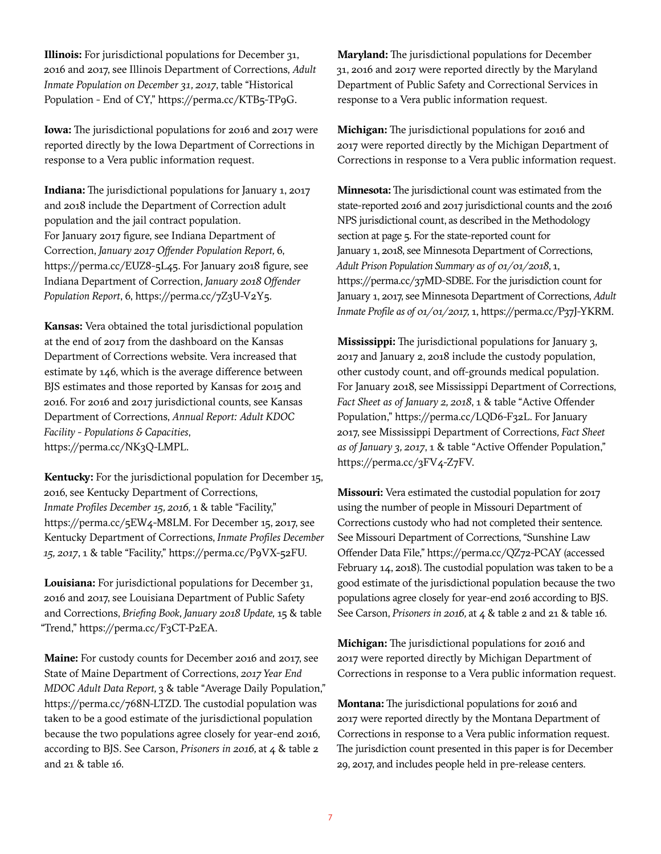**Illinois:** For jurisdictional populations for December 31, 2016 and 2017, see Illinois Department of Corrections, *Adult Inmate Population on December 31, 2017*, table "Historical Population - End of CY," [https://perma.cc/KTB5-TP9G.](https://perma.cc/KTB5-TP9G)

**Iowa:** The jurisdictional populations for 2016 and 2017 were reported directly by the Iowa Department of Corrections in response to a Vera public information request.

**Indiana:** The jurisdictional populations for January 1, 2017 and 2018 include the Department of Correction adult population and the jail contract population. For January 2017 figure, see Indiana Department of Correction, *January 2017 Offender Population Report,* 6, [https://perma.cc/EUZ8-5L45.](https://perma.cc/EUZ8-5L45) For January 2018 figure, see Indiana Department of Correction, *January 2018 Offender Population Report*, 6, [https://perma.cc/7Z3U-V2Y5.](https://perma.cc/7Z3U-V2Y5)

**Kansas:** Vera obtained the total jurisdictional population at the end of 2017 from the dashboard on the Kansas Department of Corrections website. Vera increased that estimate by 146, which is the average difference between BJS estimates and those reported by Kansas for 2015 and 2016. For 2016 and 2017 jurisdictional counts, see Kansas Department of Corrections, *Annual Report: Adult KDOC Facility - Populations & Capacities*, [https://perma.cc/NK3Q-LMPL.](https://perma.cc/NK3Q-LMPL)

**Kentucky:** For the jurisdictional population for December 15, 2016, see Kentucky Department of Corrections, *Inmate Profiles December 15, 2016,* 1 & table "Facility," [https://perma.cc/5EW4-M8LM.](https://perma.cc/5EW4-M8LM) For December 15, 2017, see Kentucky Department of Corrections, *Inmate Profiles December 15, 2017*, 1 & table "Facility,"<https://perma.cc/P9VX-52FU>.

**Louisiana:** For jurisdictional populations for December 31, 2016 and 2017, see Louisiana Department of Public Safety and Corrections, *Briefing Book, January 2018 Update,* 15 & table "Trend,"<https://perma.cc/F3CT-P2EA>.

**Maine:** For custody counts for December 2016 and 2017, see State of Maine Department of Corrections, *2017 Year End MDOC Adult Data Report,* 3 & table "Average Daily Population," [https://perma.cc/768N-LTZD.](https://perma.cc/768N-LTZD) The custodial population was taken to be a good estimate of the jurisdictional population because the two populations agree closely for year-end 2016, according to BJS. See Carson, *Prisoners in 2016,* at 4 & table 2 and 21 & table 16.

**Maryland:** The jurisdictional populations for December 31, 2016 and 2017 were reported directly by the Maryland Department of Public Safety and Correctional Services in response to a Vera public information request.

**Michigan:** The jurisdictional populations for 2016 and 2017 were reported directly by the Michigan Department of Corrections in response to a Vera public information request.

**Minnesota:** The jurisdictional count was estimated from the state-reported 2016 and 2017 jurisdictional counts and the 2016 NPS jurisdictional count, as described in the Methodology section at page 5. For the state-reported count for January 1, 2018, see Minnesota Department of Corrections, *Adult Prison Population Summary as of 01/01/2018*, 1, [https://perma.cc/37MD-SDBE.](https://perma.cc/37MD-SDBE) For the jurisdiction count for January 1, 2017, see Minnesota Department of Corrections, *Adult Inmate Profile as of 01/01/2017,* 1,<https://perma.cc/P37J-YKRM>.

**Mississippi:** The jurisdictional populations for January 3, 2017 and January 2, 2018 include the custody population, other custody count, and off-grounds medical population. For January 2018, see Mississippi Department of Corrections, *Fact Sheet as of January 2, 2018*, 1 & table "Active Offender Population," [https://perma.cc/LQD6-F32L.](https://perma.cc/LQD6-F32L) For January 2017, see Mississippi Department of Corrections*, Fact Sheet as of January 3, 2017*, 1 & table "Active Offender Population," <https://perma.cc/3FV4-Z7FV>.

**Missouri:** Vera estimated the custodial population for 2017 using the number of people in Missouri Department of Corrections custody who had not completed their sentence. See Missouri Department of Corrections, "Sunshine Law Offender Data File," <https://perma.cc/QZ72-PCAY> (accessed February 14, 2018). The custodial population was taken to be a good estimate of the jurisdictional population because the two populations agree closely for year-end 2016 according to BJS. See Carson, *Prisoners in 2016,* at 4 & table 2 and 21 & table 16.

**Michigan:** The jurisdictional populations for 2016 and 2017 were reported directly by Michigan Department of Corrections in response to a Vera public information request.

**Montana:** The jurisdictional populations for 2016 and 2017 were reported directly by the Montana Department of Corrections in response to a Vera public information request. The jurisdiction count presented in this paper is for December 29, 2017, and includes people held in pre-release centers.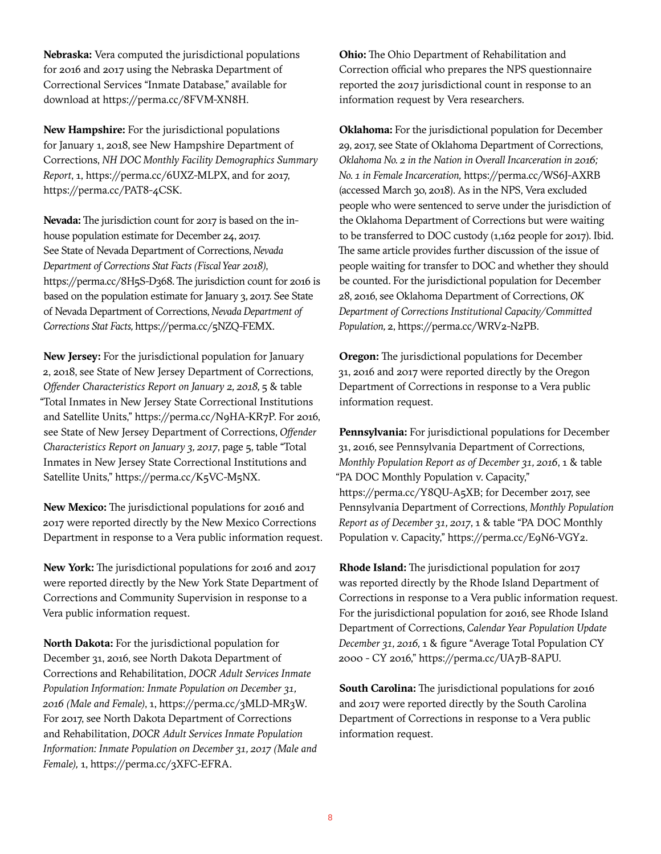**Nebraska:** Vera computed the jurisdictional populations for 2016 and 2017 using the Nebraska Department of Correctional Services "Inmate Database," available for download at<https://perma.cc/8FVM-XN8H>.

**New Hampshire:** For the jurisdictional populations for January 1, 2018, see New Hampshire Department of Corrections, *NH DOC Monthly Facility Demographics Summary Report*, 1, [https://perma.cc/6UXZ-MLPX,](https://perma.cc/6UXZ-MLPX) and for 2017, <https://perma.cc/PAT8-4CSK>.

**Nevada:** The jurisdiction count for 2017 is based on the inhouse population estimate for December 24, 2017. See State of Nevada Department of Corrections, *Nevada Department of Corrections Stat Facts (Fiscal Year 2018)*, <https://perma.cc/8H5S-D368>. The jurisdiction count for 2016 is based on the population estimate for January 3, 2017. See State of Nevada Department of Corrections, *Nevada Department of Corrections Stat Facts,* <https://perma.cc/5NZQ-FEMX>.

**New Jersey:** For the jurisdictional population for January 2, 2018, see State of New Jersey Department of Corrections, *Offender Characteristics Report on January 2, 2018, 5 & table* "Total Inmates in New Jersey State Correctional Institutions and Satellite Units," [https://perma.cc/N9HA-KR7P.](https://perma.cc/N9HA-KR7P) For 2016, see State of New Jersey Department of Corrections, *Offender Characteristics Report on January 3, 2017*, page 5, table "Total Inmates in New Jersey State Correctional Institutions and Satellite Units," [https://perma.cc/K5VC-M5NX.](https://perma.cc/K5VC-M5NX)

**New Mexico:** The jurisdictional populations for 2016 and 2017 were reported directly by the New Mexico Corrections Department in response to a Vera public information request.

**New York:** The jurisdictional populations for 2016 and 2017 were reported directly by the New York State Department of Corrections and Community Supervision in response to a Vera public information request.

**North Dakota:** For the jurisdictional population for December 31, 2016, see North Dakota Department of Corrections and Rehabilitation, *DOCR Adult Services Inmate Population Information: Inmate Population on December 31, 2016 (Male and Female)*, 1,<https://perma.cc/3MLD-MR3W>. For 2017, see North Dakota Department of Corrections and Rehabilitation, *DOCR Adult Services Inmate Population Information: Inmate Population on December 31, 2017 (Male and Female),* 1, [https://perma.cc/3XFC-EFRA.](https://perma.cc/3XFC-EFRA)

**Ohio:** The Ohio Department of Rehabilitation and Correction official who prepares the NPS questionnaire reported the 2017 jurisdictional count in response to an information request by Vera researchers.

**Oklahoma:** For the jurisdictional population for December 29, 2017, see State of Oklahoma Department of Corrections, *Oklahoma No. 2 in the Nation in Overall Incarceration in 2016; No. 1 in Female Incarceration,* <https://perma.cc/WS6J-AXRB> (accessed March 30, 2018). As in the NPS, Vera excluded people who were sentenced to serve under the jurisdiction of the Oklahoma Department of Corrections but were waiting to be transferred to DOC custody (1,162 people for 2017). Ibid*.* The same article provides further discussion of the issue of people waiting for transfer to DOC and whether they should be counted. For the jurisdictional population for December 28, 2016, see Oklahoma Department of Corrections, *OK Department of Corrections Institutional Capacity/Committed Population,* 2,<https://perma.cc/WRV2-N2PB>.

**Oregon:** The jurisdictional populations for December 31, 2016 and 2017 were reported directly by the Oregon Department of Corrections in response to a Vera public information request.

**Pennsylvania:** For jurisdictional populations for December 31, 2016, see Pennsylvania Department of Corrections, *Monthly Population Report as of December 31, 2016*, 1 & table "PA DOC Monthly Population v. Capacity," <https://perma.cc/Y8QU-A5XB>; for December 2017, see Pennsylvania Department of Corrections, *Monthly Population Report as of December 31, 2017*, 1 & table "PA DOC Monthly Population v. Capacity," <https://perma.cc/E9N6-VGY2>.

**Rhode Island:** The jurisdictional population for 2017 was reported directly by the Rhode Island Department of Corrections in response to a Vera public information request. For the jurisdictional population for 2016, see Rhode Island Department of Corrections, *Calendar Year Population Update December 31, 2016,* 1 & figure "Average Total Population CY 2000 - CY 2016," [https://perma.cc/UA7B-8APU.](https://perma.cc/UA7B-8APU)

**South Carolina:** The jurisdictional populations for 2016 and 2017 were reported directly by the South Carolina Department of Corrections in response to a Vera public information request.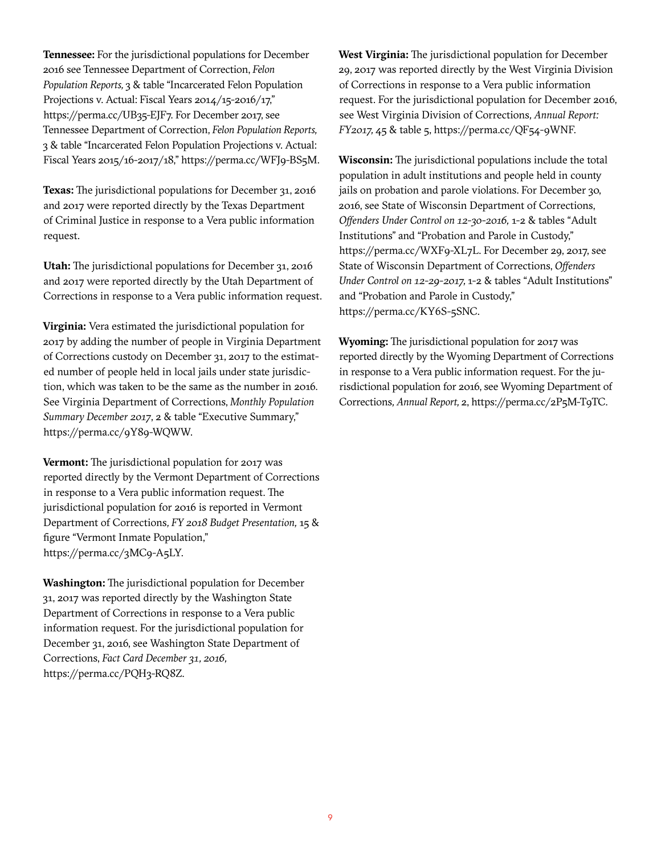**Tennessee:** For the jurisdictional populations for December 2016 see Tennessee Department of Correction, *Felon Population Reports,* 3 & table "Incarcerated Felon Population Projections v. Actual: Fiscal Years 2014/15-2016/17," <https://perma.cc/UB35-EJF7>. For December 2017, see Tennessee Department of Correction, *Felon Population Reports,*  3 & table "Incarcerated Felon Population Projections v. Actual: Fiscal Years 2015/16-2017/18," [https://perma.cc/WFJ9-BS5M.](https://perma.cc/WFJ9-BS5M)

**Texas:** The jurisdictional populations for December 31, 2016 and 2017 were reported directly by the Texas Department of Criminal Justice in response to a Vera public information request.

**Utah:** The jurisdictional populations for December 31, 2016 and 2017 were reported directly by the Utah Department of Corrections in response to a Vera public information request.

**Virginia:** Vera estimated the jurisdictional population for 2017 by adding the number of people in Virginia Department of Corrections custody on December 31, 2017 to the estimated number of people held in local jails under state jurisdiction, which was taken to be the same as the number in 2016. See Virginia Department of Corrections, *Monthly Population Summary December 2017*, 2 & table "Executive Summary," <https://perma.cc/9Y89-WQWW>.

**Vermont:** The jurisdictional population for 2017 was reported directly by the Vermont Department of Corrections in response to a Vera public information request. The jurisdictional population for 2016 is reported in Vermont Department of Corrections*, FY 2018 Budget Presentation,* 15 & figure "Vermont Inmate Population," [https://perma.cc/3MC9-A5LY.](https://perma.cc/3MC9-A5LY)

**Washington:** The jurisdictional population for December 31, 2017 was reported directly by the Washington State Department of Corrections in response to a Vera public information request. For the jurisdictional population for December 31, 2016, see Washington State Department of Corrections, *Fact Card December 31, 2016,* [https://perma.cc/PQH3-RQ8Z.](https://perma.cc/PQH3-RQ8Z)

**West Virginia:** The jurisdictional population for December 29, 2017 was reported directly by the West Virginia Division of Corrections in response to a Vera public information request. For the jurisdictional population for December 2016, see West Virginia Division of Corrections*, Annual Report: FY2017,* 45 & table 5, [https://perma.cc/QF54-9WNF.](https://perma.cc/QF54-9WNF)

**Wisconsin:** The jurisdictional populations include the total population in adult institutions and people held in county jails on probation and parole violations. For December 30, 2016, see State of Wisconsin Department of Corrections, *Offenders Under Control on 12-30-2016,* 1-2 & tables "Adult Institutions" and "Probation and Parole in Custody," [https://perma.cc/WXF9-XL7L.](https://perma.cc/WXF9-XL7L) For December 29, 2017, see State of Wisconsin Department of Corrections, *Offenders Under Control on 12-29-2017,* 1-2 & tables "Adult Institutions" and "Probation and Parole in Custody," <https://perma.cc/KY6S-5SNC>.

**Wyoming:** The jurisdictional population for 2017 was reported directly by the Wyoming Department of Corrections in response to a Vera public information request. For the jurisdictional population for 2016, see Wyoming Department of Corrections*, Annual Report,* 2, [https://perma.cc/2P5M-T9TC.](https://perma.cc/2P5M-T9TC)